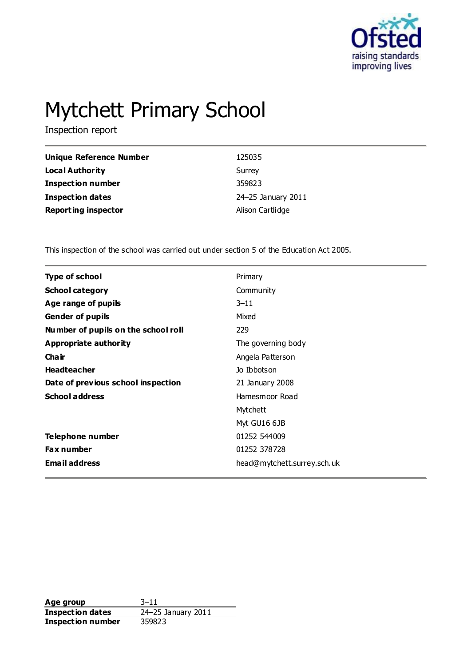

# Mytchett Primary School

Inspection report

| Unique Reference Number    | 125035             |
|----------------------------|--------------------|
| Local Authority            | Surrey             |
| <b>Inspection number</b>   | 359823             |
| <b>Inspection dates</b>    | 24-25 January 2011 |
| <b>Reporting inspector</b> | Alison Cartlidge   |

This inspection of the school was carried out under section 5 of the Education Act 2005.

| <b>Type of school</b>               | Primary                     |
|-------------------------------------|-----------------------------|
| <b>School category</b>              | Community                   |
| Age range of pupils                 | $3 - 11$                    |
| <b>Gender of pupils</b>             | Mixed                       |
| Number of pupils on the school roll | 229                         |
| Appropriate authority               | The governing body          |
| Cha ir                              | Angela Patterson            |
| <b>Headteacher</b>                  | Jo Ibbotson                 |
| Date of previous school inspection  | 21 January 2008             |
| <b>School address</b>               | Hamesmoor Road              |
|                                     | Mytchett                    |
|                                     | Myt GU16 6JB                |
| Telephone number                    | 01252 544009                |
| Fax number                          | 01252 378728                |
| <b>Email address</b>                | head@mytchett.surrey.sch.uk |
|                                     |                             |

**Age group** 3–11 **Inspection dates** 24–25 January 2011 **Inspection number** 359823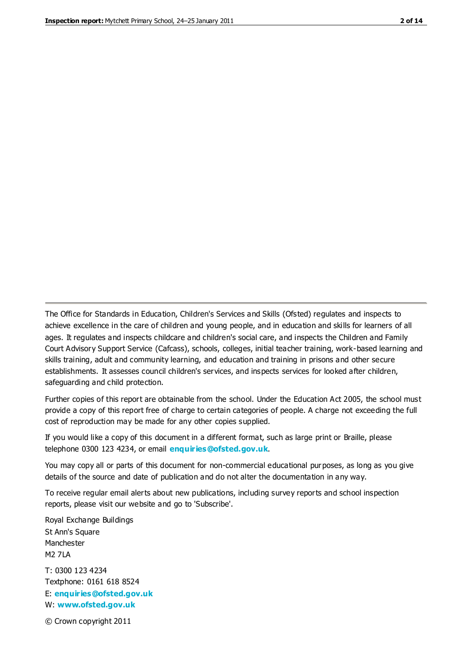The Office for Standards in Education, Children's Services and Skills (Ofsted) regulates and inspects to achieve excellence in the care of children and young people, and in education and skills for learners of all ages. It regulates and inspects childcare and children's social care, and inspects the Children and Family Court Advisory Support Service (Cafcass), schools, colleges, initial teacher training, work-based learning and skills training, adult and community learning, and education and training in prisons and other secure establishments. It assesses council children's services, and inspects services for looked after children, safeguarding and child protection.

Further copies of this report are obtainable from the school. Under the Education Act 2005, the school must provide a copy of this report free of charge to certain categories of people. A charge not exceeding the full cost of reproduction may be made for any other copies supplied.

If you would like a copy of this document in a different format, such as large print or Braille, please telephone 0300 123 4234, or email **[enquiries@ofsted.gov.uk](mailto:enquiries@ofsted.gov.uk)**.

You may copy all or parts of this document for non-commercial educational purposes, as long as you give details of the source and date of publication and do not alter the documentation in any way.

To receive regular email alerts about new publications, including survey reports and school inspection reports, please visit our website and go to 'Subscribe'.

Royal Exchange Buildings St Ann's Square Manchester M2 7LA T: 0300 123 4234 Textphone: 0161 618 8524 E: **[enquiries@ofsted.gov.uk](mailto:enquiries@ofsted.gov.uk)**

W: **[www.ofsted.gov.uk](http://www.ofsted.gov.uk/)**

© Crown copyright 2011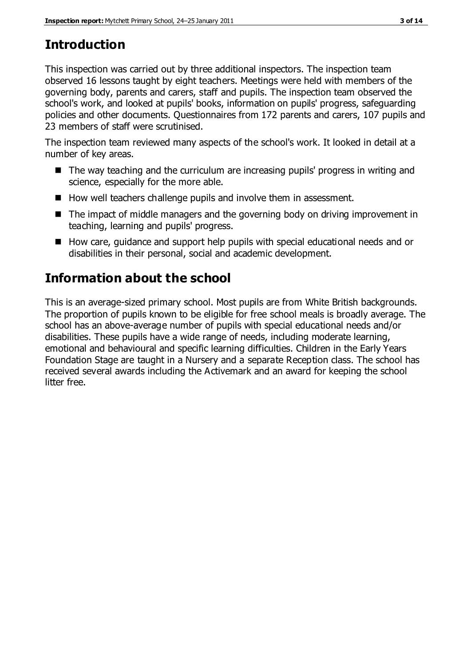# **Introduction**

This inspection was carried out by three additional inspectors. The inspection team observed 16 lessons taught by eight teachers. Meetings were held with members of the governing body, parents and carers, staff and pupils. The inspection team observed the school's work, and looked at pupils' books, information on pupils' progress, safeguarding policies and other documents. Questionnaires from 172 parents and carers, 107 pupils and 23 members of staff were scrutinised.

The inspection team reviewed many aspects of the school's work. It looked in detail at a number of key areas.

- The way teaching and the curriculum are increasing pupils' progress in writing and science, especially for the more able.
- How well teachers challenge pupils and involve them in assessment.
- The impact of middle managers and the governing body on driving improvement in teaching, learning and pupils' progress.
- How care, guidance and support help pupils with special educational needs and or disabilities in their personal, social and academic development.

# **Information about the school**

This is an average-sized primary school. Most pupils are from White British backgrounds. The proportion of pupils known to be eligible for free school meals is broadly average. The school has an above-average number of pupils with special educational needs and/or disabilities. These pupils have a wide range of needs, including moderate learning, emotional and behavioural and specific learning difficulties. Children in the Early Years Foundation Stage are taught in a Nursery and a separate Reception class. The school has received several awards including the Activemark and an award for keeping the school litter free.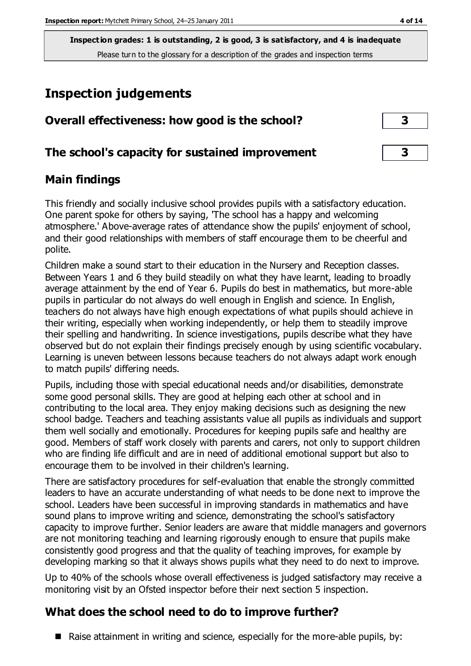# **Inspection judgements**

| Overall effectiveness: how good is the school?  |                         |
|-------------------------------------------------|-------------------------|
| The school's capacity for sustained improvement | $\overline{\mathbf{3}}$ |

## **Main findings**

This friendly and socially inclusive school provides pupils with a satisfactory education. One parent spoke for others by saying, 'The school has a happy and welcoming atmosphere.' Above-average rates of attendance show the pupils' enjoyment of school, and their good relationships with members of staff encourage them to be cheerful and polite.

Children make a sound start to their education in the Nursery and Reception classes. Between Years 1 and 6 they build steadily on what they have learnt, leading to broadly average attainment by the end of Year 6. Pupils do best in mathematics, but more-able pupils in particular do not always do well enough in English and science. In English, teachers do not always have high enough expectations of what pupils should achieve in their writing, especially when working independently, or help them to steadily improve their spelling and handwriting. In science investigations, pupils describe what they have observed but do not explain their findings precisely enough by using scientific vocabulary. Learning is uneven between lessons because teachers do not always adapt work enough to match pupils' differing needs.

Pupils, including those with special educational needs and/or disabilities, demonstrate some good personal skills. They are good at helping each other at school and in contributing to the local area. They enjoy making decisions such as designing the new school badge. Teachers and teaching assistants value all pupils as individuals and support them well socially and emotionally. Procedures for keeping pupils safe and healthy are good. Members of staff work closely with parents and carers, not only to support children who are finding life difficult and are in need of additional emotional support but also to encourage them to be involved in their children's learning.

There are satisfactory procedures for self-evaluation that enable the strongly committed leaders to have an accurate understanding of what needs to be done next to improve the school. Leaders have been successful in improving standards in mathematics and have sound plans to improve writing and science, demonstrating the school's satisfactory capacity to improve further. Senior leaders are aware that middle managers and governors are not monitoring teaching and learning rigorously enough to ensure that pupils make consistently good progress and that the quality of teaching improves, for example by developing marking so that it always shows pupils what they need to do next to improve.

Up to 40% of the schools whose overall effectiveness is judged satisfactory may receive a monitoring visit by an Ofsted inspector before their next section 5 inspection.

## **What does the school need to do to improve further?**

Raise attainment in writing and science, especially for the more-able pupils, by: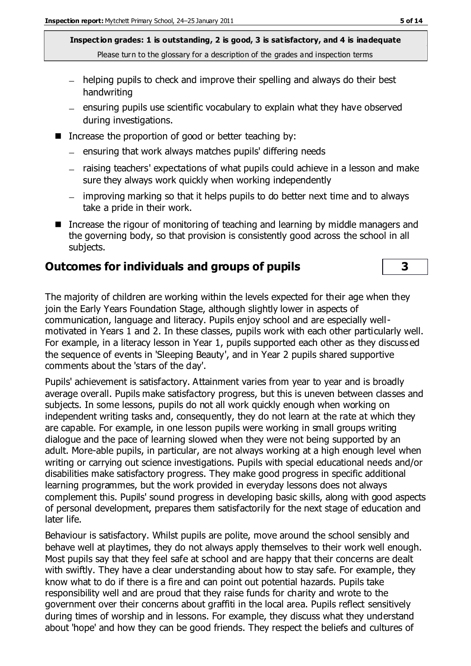- helping pupils to check and improve their spelling and always do their best handwriting
- $=$  ensuring pupils use scientific vocabulary to explain what they have observed during investigations.
- Increase the proportion of good or better teaching by:
	- $-$  ensuring that work always matches pupils' differing needs
	- raising teachers' expectations of what pupils could achieve in a lesson and make sure they always work quickly when working independently
	- improving marking so that it helps pupils to do better next time and to always take a pride in their work.
- Increase the rigour of monitoring of teaching and learning by middle managers and the governing body, so that provision is consistently good across the school in all subjects.

#### **Outcomes for individuals and groups of pupils 3**

The majority of children are working within the levels expected for their age when they join the Early Years Foundation Stage, although slightly lower in aspects of communication, language and literacy. Pupils enjoy school and are especially wellmotivated in Years 1 and 2. In these classes, pupils work with each other particularly well. For example, in a literacy lesson in Year 1, pupils supported each other as they discuss ed the sequence of events in 'Sleeping Beauty', and in Year 2 pupils shared supportive comments about the 'stars of the day'.

Pupils' achievement is satisfactory. Attainment varies from year to year and is broadly average overall. Pupils make satisfactory progress, but this is uneven between classes and subjects. In some lessons, pupils do not all work quickly enough when working on independent writing tasks and, consequently, they do not learn at the rate at which they are capable. For example, in one lesson pupils were working in small groups writing dialogue and the pace of learning slowed when they were not being supported by an adult. More-able pupils, in particular, are not always working at a high enough level when writing or carrying out science investigations. Pupils with special educational needs and/or disabilities make satisfactory progress. They make good progress in specific additional learning programmes, but the work provided in everyday lessons does not always complement this. Pupils' sound progress in developing basic skills, along with good aspects of personal development, prepares them satisfactorily for the next stage of education and later life.

Behaviour is satisfactory. Whilst pupils are polite, move around the school sensibly and behave well at playtimes, they do not always apply themselves to their work well enough. Most pupils say that they feel safe at school and are happy that their concerns are dealt with swiftly. They have a clear understanding about how to stay safe. For example, they know what to do if there is a fire and can point out potential hazards. Pupils take responsibility well and are proud that they raise funds for charity and wrote to the government over their concerns about graffiti in the local area. Pupils reflect sensitively during times of worship and in lessons. For example, they discuss what they understand about 'hope' and how they can be good friends. They respect the beliefs and cultures of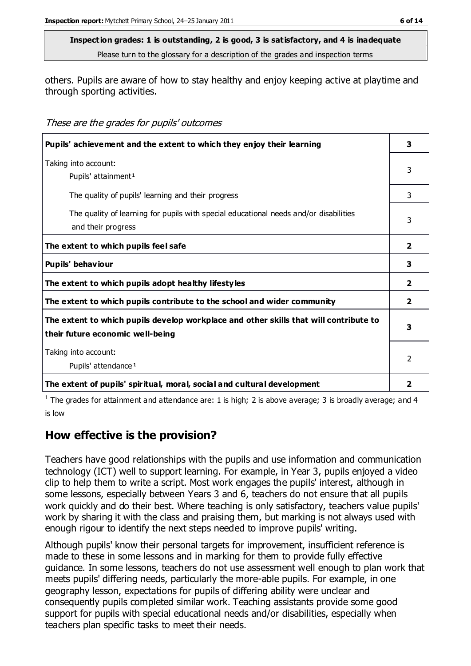others. Pupils are aware of how to stay healthy and enjoy keeping active at playtime and through sporting activities.

These are the grades for pupils' outcomes

| Pupils' achievement and the extent to which they enjoy their learning                                                     | 3              |
|---------------------------------------------------------------------------------------------------------------------------|----------------|
| Taking into account:<br>Pupils' attainment <sup>1</sup>                                                                   | 3              |
| The quality of pupils' learning and their progress                                                                        | 3              |
| The quality of learning for pupils with special educational needs and/or disabilities<br>and their progress               | 3              |
| The extent to which pupils feel safe                                                                                      | 2              |
| Pupils' behaviour                                                                                                         | 3              |
| The extent to which pupils adopt healthy lifestyles                                                                       | $\overline{2}$ |
| The extent to which pupils contribute to the school and wider community                                                   | $\overline{2}$ |
| The extent to which pupils develop workplace and other skills that will contribute to<br>their future economic well-being | 3              |
| Taking into account:<br>Pupils' attendance <sup>1</sup>                                                                   |                |
| The extent of pupils' spiritual, moral, social and cultural development                                                   | 2              |

<sup>1</sup> The grades for attainment and attendance are: 1 is high; 2 is above average; 3 is broadly average; and 4 is low

## **How effective is the provision?**

Teachers have good relationships with the pupils and use information and communication technology (ICT) well to support learning. For example, in Year 3, pupils enjoyed a video clip to help them to write a script. Most work engages the pupils' interest, although in some lessons, especially between Years 3 and 6, teachers do not ensure that all pupils work quickly and do their best. Where teaching is only satisfactory, teachers value pupils' work by sharing it with the class and praising them, but marking is not always used with enough rigour to identify the next steps needed to improve pupils' writing.

Although pupils' know their personal targets for improvement, insufficient reference is made to these in some lessons and in marking for them to provide fully effective guidance. In some lessons, teachers do not use assessment well enough to plan work that meets pupils' differing needs, particularly the more-able pupils. For example, in one geography lesson, expectations for pupils of differing ability were unclear and consequently pupils completed similar work. Teaching assistants provide some good support for pupils with special educational needs and/or disabilities, especially when teachers plan specific tasks to meet their needs.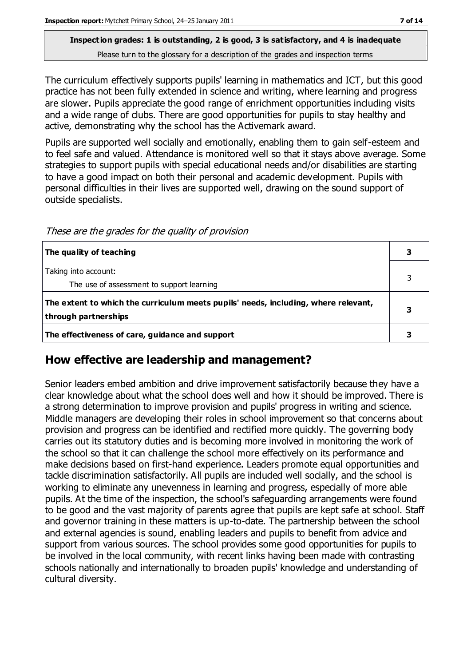The curriculum effectively supports pupils' learning in mathematics and ICT, but this good practice has not been fully extended in science and writing, where learning and progress are slower. Pupils appreciate the good range of enrichment opportunities including visits and a wide range of clubs. There are good opportunities for pupils to stay healthy and active, demonstrating why the school has the Activemark award.

Pupils are supported well socially and emotionally, enabling them to gain self-esteem and to feel safe and valued. Attendance is monitored well so that it stays above average. Some strategies to support pupils with special educational needs and/or disabilities are starting to have a good impact on both their personal and academic development. Pupils with personal difficulties in their lives are supported well, drawing on the sound support of outside specialists.

| The quality of teaching                                                                                    |  |
|------------------------------------------------------------------------------------------------------------|--|
| Taking into account:<br>The use of assessment to support learning                                          |  |
| The extent to which the curriculum meets pupils' needs, including, where relevant,<br>through partnerships |  |
| The effectiveness of care, guidance and support                                                            |  |

These are the grades for the quality of provision

## **How effective are leadership and management?**

Senior leaders embed ambition and drive improvement satisfactorily because they have a clear knowledge about what the school does well and how it should be improved. There is a strong determination to improve provision and pupils' progress in writing and science. Middle managers are developing their roles in school improvement so that concerns about provision and progress can be identified and rectified more quickly. The governing body carries out its statutory duties and is becoming more involved in monitoring the work of the school so that it can challenge the school more effectively on its performance and make decisions based on first-hand experience. Leaders promote equal opportunities and tackle discrimination satisfactorily. All pupils are included well socially, and the school is working to eliminate any unevenness in learning and progress, especially of more able pupils. At the time of the inspection, the school's safeguarding arrangements were found to be good and the vast majority of parents agree that pupils are kept safe at school. Staff and governor training in these matters is up-to-date. The partnership between the school and external agencies is sound, enabling leaders and pupils to benefit from advice and support from various sources. The school provides some good opportunities for pupils to be involved in the local community, with recent links having been made with contrasting schools nationally and internationally to broaden pupils' knowledge and understanding of cultural diversity.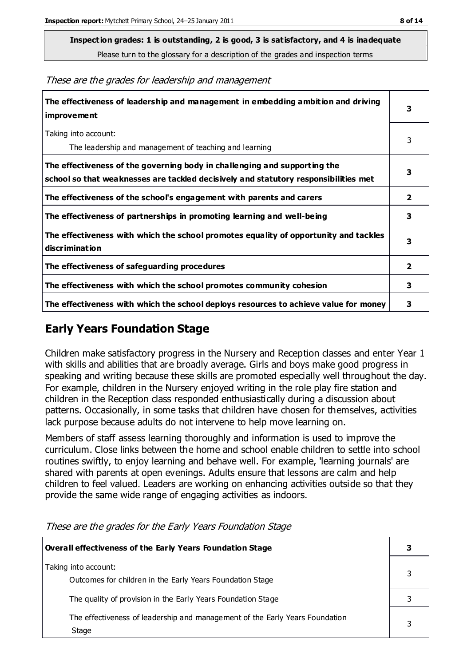**Inspection grades: 1 is outstanding, 2 is good, 3 is satisfactory, and 4 is inadequate**

Please turn to the glossary for a description of the grades and inspection terms

These are the grades for leadership and management

| The effectiveness of leadership and management in embedding ambition and driving<br><b>improvement</b>                                                           | 3              |
|------------------------------------------------------------------------------------------------------------------------------------------------------------------|----------------|
| Taking into account:<br>The leadership and management of teaching and learning                                                                                   | 3              |
| The effectiveness of the governing body in challenging and supporting the<br>school so that weaknesses are tackled decisively and statutory responsibilities met | 3              |
| The effectiveness of the school's engagement with parents and carers                                                                                             | $\mathbf{2}$   |
| The effectiveness of partnerships in promoting learning and well-being                                                                                           | 3              |
| The effectiveness with which the school promotes equality of opportunity and tackles<br><b>discrimination</b>                                                    | 3              |
| The effectiveness of safeguarding procedures                                                                                                                     | $\overline{2}$ |
| The effectiveness with which the school promotes community cohesion                                                                                              | 3              |
| The effectiveness with which the school deploys resources to achieve value for money                                                                             | 3              |

#### **Early Years Foundation Stage**

Children make satisfactory progress in the Nursery and Reception classes and enter Year 1 with skills and abilities that are broadly average. Girls and boys make good progress in speaking and writing because these skills are promoted especially well throughout the day. For example, children in the Nursery enjoyed writing in the role play fire station and children in the Reception class responded enthusiastically during a discussion about patterns. Occasionally, in some tasks that children have chosen for themselves, activities lack purpose because adults do not intervene to help move learning on.

Members of staff assess learning thoroughly and information is used to improve the curriculum. Close links between the home and school enable children to settle into school routines swiftly, to enjoy learning and behave well. For example, 'learning journals' are shared with parents at open evenings. Adults ensure that lessons are calm and help children to feel valued. Leaders are working on enhancing activities outside so that they provide the same wide range of engaging activities as indoors.

| Overall effectiveness of the Early Years Foundation Stage                             |  |
|---------------------------------------------------------------------------------------|--|
| Taking into account:<br>Outcomes for children in the Early Years Foundation Stage     |  |
| The quality of provision in the Early Years Foundation Stage                          |  |
| The effectiveness of leadership and management of the Early Years Foundation<br>Stage |  |

These are the grades for the Early Years Foundation Stage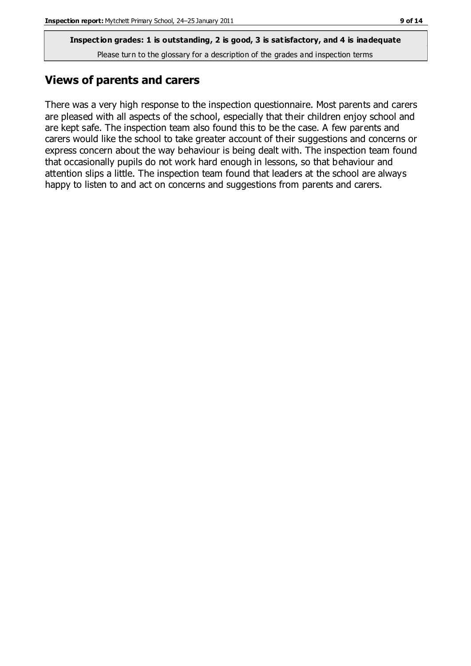#### **Views of parents and carers**

There was a very high response to the inspection questionnaire. Most parents and carers are pleased with all aspects of the school, especially that their children enjoy school and are kept safe. The inspection team also found this to be the case. A few parents and carers would like the school to take greater account of their suggestions and concerns or express concern about the way behaviour is being dealt with. The inspection team found that occasionally pupils do not work hard enough in lessons, so that behaviour and attention slips a little. The inspection team found that leaders at the school are always happy to listen to and act on concerns and suggestions from parents and carers.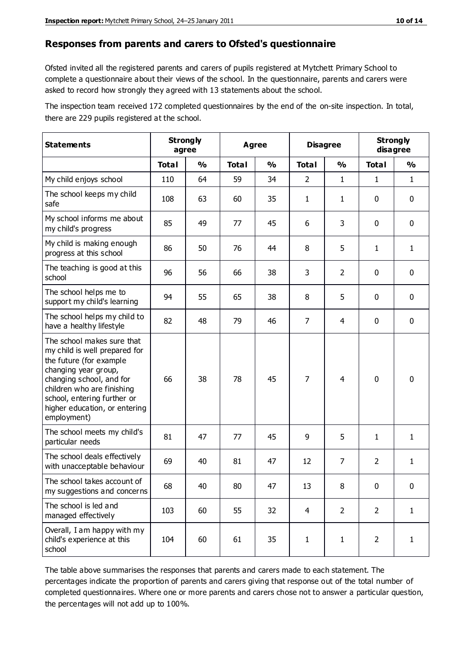#### **Responses from parents and carers to Ofsted's questionnaire**

Ofsted invited all the registered parents and carers of pupils registered at Mytchett Primary School to complete a questionnaire about their views of the school. In the questionnaire, parents and carers were asked to record how strongly they agreed with 13 statements about the school.

The inspection team received 172 completed questionnaires by the end of the on-site inspection. In total, there are 229 pupils registered at the school.

| <b>Statements</b>                                                                                                                                                                                                                                       | <b>Strongly</b><br>agree |               | <b>Agree</b> |               |                | <b>Disagree</b> |                | <b>Strongly</b><br>disagree |  |
|---------------------------------------------------------------------------------------------------------------------------------------------------------------------------------------------------------------------------------------------------------|--------------------------|---------------|--------------|---------------|----------------|-----------------|----------------|-----------------------------|--|
|                                                                                                                                                                                                                                                         | <b>Total</b>             | $\frac{1}{2}$ | <b>Total</b> | $\frac{1}{2}$ | <b>Total</b>   | $\frac{1}{2}$   | <b>Total</b>   | $\frac{1}{2}$               |  |
| My child enjoys school                                                                                                                                                                                                                                  | 110                      | 64            | 59           | 34            | $\overline{2}$ | $\mathbf{1}$    | 1              | $\mathbf{1}$                |  |
| The school keeps my child<br>safe                                                                                                                                                                                                                       | 108                      | 63            | 60           | 35            | 1              | $\mathbf{1}$    | 0              | $\mathbf 0$                 |  |
| My school informs me about<br>my child's progress                                                                                                                                                                                                       | 85                       | 49            | 77           | 45            | 6              | 3               | $\mathbf{0}$   | $\mathbf 0$                 |  |
| My child is making enough<br>progress at this school                                                                                                                                                                                                    | 86                       | 50            | 76           | 44            | 8              | 5               | 1              | $\mathbf{1}$                |  |
| The teaching is good at this<br>school                                                                                                                                                                                                                  | 96                       | 56            | 66           | 38            | 3              | $\overline{2}$  | $\mathbf 0$    | $\mathbf 0$                 |  |
| The school helps me to<br>support my child's learning                                                                                                                                                                                                   | 94                       | 55            | 65           | 38            | 8              | 5               | $\mathbf 0$    | $\mathbf 0$                 |  |
| The school helps my child to<br>have a healthy lifestyle                                                                                                                                                                                                | 82                       | 48            | 79           | 46            | $\overline{7}$ | $\overline{4}$  | $\mathbf 0$    | $\mathbf 0$                 |  |
| The school makes sure that<br>my child is well prepared for<br>the future (for example<br>changing year group,<br>changing school, and for<br>children who are finishing<br>school, entering further or<br>higher education, or entering<br>employment) | 66                       | 38            | 78           | 45            | $\overline{7}$ | 4               | $\mathbf 0$    | $\mathbf 0$                 |  |
| The school meets my child's<br>particular needs                                                                                                                                                                                                         | 81                       | 47            | 77           | 45            | 9              | 5               | $\mathbf{1}$   | 1                           |  |
| The school deals effectively<br>with unacceptable behaviour                                                                                                                                                                                             | 69                       | 40            | 81           | 47            | 12             | $\overline{7}$  | $\overline{2}$ | $\mathbf{1}$                |  |
| The school takes account of<br>my suggestions and concerns                                                                                                                                                                                              | 68                       | 40            | 80           | 47            | 13             | 8               | 0              | 0                           |  |
| The school is led and<br>managed effectively                                                                                                                                                                                                            | 103                      | 60            | 55           | 32            | $\overline{4}$ | $\overline{2}$  | $\overline{2}$ | $\mathbf{1}$                |  |
| Overall, I am happy with my<br>child's experience at this<br>school                                                                                                                                                                                     | 104                      | 60            | 61           | 35            | $\mathbf{1}$   | $\mathbf{1}$    | $\overline{2}$ | $\mathbf{1}$                |  |

The table above summarises the responses that parents and carers made to each statement. The percentages indicate the proportion of parents and carers giving that response out of the total number of completed questionnaires. Where one or more parents and carers chose not to answer a particular question, the percentages will not add up to 100%.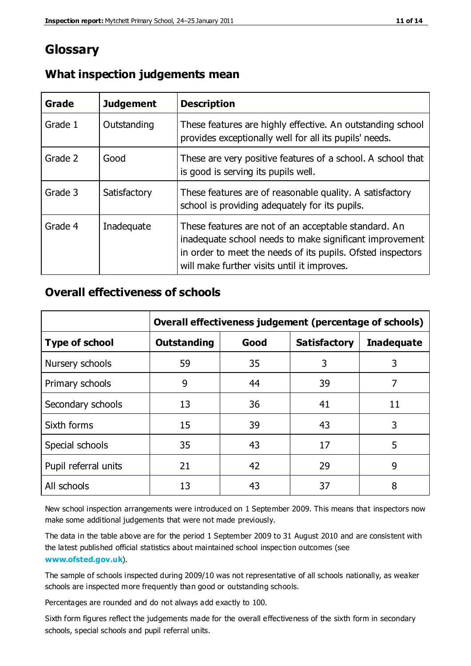## **Glossary**

| Grade   | <b>Judgement</b> | <b>Description</b>                                                                                                                                                                                                            |
|---------|------------------|-------------------------------------------------------------------------------------------------------------------------------------------------------------------------------------------------------------------------------|
| Grade 1 | Outstanding      | These features are highly effective. An outstanding school<br>provides exceptionally well for all its pupils' needs.                                                                                                          |
| Grade 2 | Good             | These are very positive features of a school. A school that<br>is good is serving its pupils well.                                                                                                                            |
| Grade 3 | Satisfactory     | These features are of reasonable quality. A satisfactory<br>school is providing adequately for its pupils.                                                                                                                    |
| Grade 4 | Inadequate       | These features are not of an acceptable standard. An<br>inadequate school needs to make significant improvement<br>in order to meet the needs of its pupils. Ofsted inspectors<br>will make further visits until it improves. |

#### **What inspection judgements mean**

#### **Overall effectiveness of schools**

|                       | Overall effectiveness judgement (percentage of schools) |      |                     |                   |
|-----------------------|---------------------------------------------------------|------|---------------------|-------------------|
| <b>Type of school</b> | <b>Outstanding</b>                                      | Good | <b>Satisfactory</b> | <b>Inadequate</b> |
| Nursery schools       | 59                                                      | 35   | 3                   | 3                 |
| Primary schools       | 9                                                       | 44   | 39                  | 7                 |
| Secondary schools     | 13                                                      | 36   | 41                  | 11                |
| Sixth forms           | 15                                                      | 39   | 43                  | 3                 |
| Special schools       | 35                                                      | 43   | 17                  | 5                 |
| Pupil referral units  | 21                                                      | 42   | 29                  | 9                 |
| All schools           | 13                                                      | 43   | 37                  | 8                 |

New school inspection arrangements were introduced on 1 September 2009. This means that inspectors now make some additional judgements that were not made previously.

The data in the table above are for the period 1 September 2009 to 31 August 2010 and are consistent with the latest published official statistics about maintained school inspec tion outcomes (see **[www.ofsted.gov.uk](http://www.ofsted.gov.uk/)**).

The sample of schools inspected during 2009/10 was not representative of all schools nationally, as weaker schools are inspected more frequently than good or outstanding schools.

Percentages are rounded and do not always add exactly to 100.

Sixth form figures reflect the judgements made for the overall effectiveness of the sixth form in secondary schools, special schools and pupil referral units.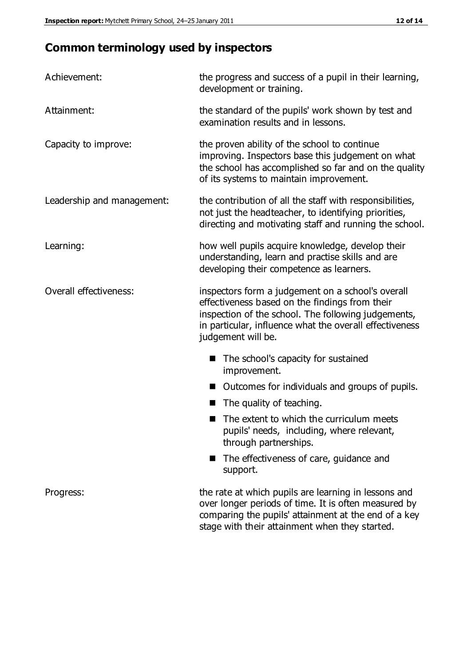# **Common terminology used by inspectors**

| Achievement:               | the progress and success of a pupil in their learning,<br>development or training.                                                                                                                                                          |  |  |
|----------------------------|---------------------------------------------------------------------------------------------------------------------------------------------------------------------------------------------------------------------------------------------|--|--|
| Attainment:                | the standard of the pupils' work shown by test and<br>examination results and in lessons.                                                                                                                                                   |  |  |
| Capacity to improve:       | the proven ability of the school to continue<br>improving. Inspectors base this judgement on what<br>the school has accomplished so far and on the quality<br>of its systems to maintain improvement.                                       |  |  |
| Leadership and management: | the contribution of all the staff with responsibilities,<br>not just the headteacher, to identifying priorities,<br>directing and motivating staff and running the school.                                                                  |  |  |
| Learning:                  | how well pupils acquire knowledge, develop their<br>understanding, learn and practise skills and are<br>developing their competence as learners.                                                                                            |  |  |
| Overall effectiveness:     | inspectors form a judgement on a school's overall<br>effectiveness based on the findings from their<br>inspection of the school. The following judgements,<br>in particular, influence what the overall effectiveness<br>judgement will be. |  |  |
|                            | The school's capacity for sustained<br>improvement.                                                                                                                                                                                         |  |  |
|                            | Outcomes for individuals and groups of pupils.                                                                                                                                                                                              |  |  |
|                            | The quality of teaching.                                                                                                                                                                                                                    |  |  |
|                            | The extent to which the curriculum meets<br>pupils' needs, including, where relevant,<br>through partnerships.                                                                                                                              |  |  |
|                            | The effectiveness of care, guidance and<br>support.                                                                                                                                                                                         |  |  |
| Progress:                  | the rate at which pupils are learning in lessons and<br>over longer periods of time. It is often measured by<br>comparing the pupils' attainment at the end of a key                                                                        |  |  |

stage with their attainment when they started.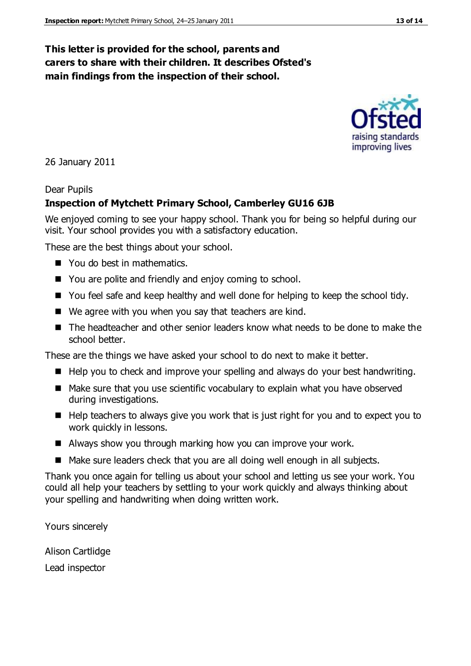#### **This letter is provided for the school, parents and carers to share with their children. It describes Ofsted's main findings from the inspection of their school.**

26 January 2011

#### Dear Pupils

#### **Inspection of Mytchett Primary School, Camberley GU16 6JB**

We enjoyed coming to see your happy school. Thank you for being so helpful during our visit. Your school provides you with a satisfactory education.

These are the best things about your school.

- You do best in mathematics.
- You are polite and friendly and enjoy coming to school.
- You feel safe and keep healthy and well done for helping to keep the school tidy.
- We agree with you when you say that teachers are kind.
- The headteacher and other senior leaders know what needs to be done to make the school better.

These are the things we have asked your school to do next to make it better.

- $\blacksquare$  Help you to check and improve your spelling and always do your best handwriting.
- Make sure that you use scientific vocabulary to explain what you have observed during investigations.
- $\blacksquare$  Help teachers to always give you work that is just right for you and to expect you to work quickly in lessons.
- Always show you through marking how you can improve your work.
- Make sure leaders check that you are all doing well enough in all subjects.

Thank you once again for telling us about your school and letting us see your work. You could all help your teachers by settling to your work quickly and always thinking about your spelling and handwriting when doing written work.

Yours sincerely

Alison Cartlidge Lead inspector